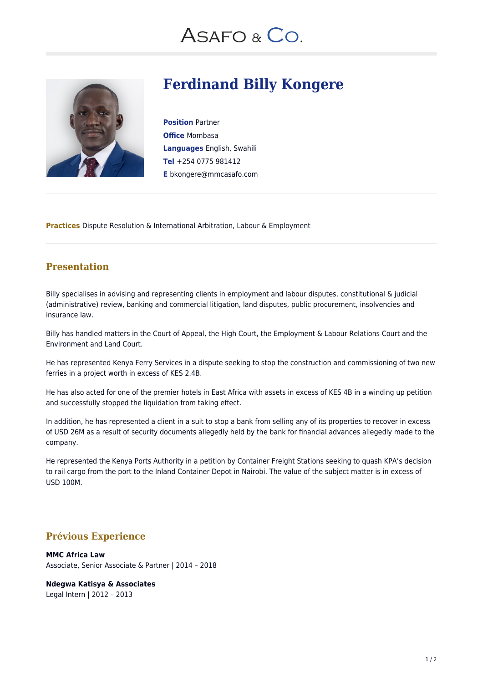## ASAFO & CO.



## **Ferdinand Billy Kongere**

**Position** Partner **Office** Mombasa **Languages** English, Swahili **Tel** +254 0775 981412 **E** bkongere@mmcasafo.com

**Practices** Dispute Resolution & International Arbitration, Labour & Employment

#### **Presentation**

Billy specialises in advising and representing clients in employment and labour disputes, constitutional & judicial (administrative) review, banking and commercial litigation, land disputes, public procurement, insolvencies and insurance law.

Billy has handled matters in the Court of Appeal, the High Court, the Employment & Labour Relations Court and the Environment and Land Court.

He has represented Kenya Ferry Services in a dispute seeking to stop the construction and commissioning of two new ferries in a project worth in excess of KES 2.4B.

He has also acted for one of the premier hotels in East Africa with assets in excess of KES 4B in a winding up petition and successfully stopped the liquidation from taking effect.

In addition, he has represented a client in a suit to stop a bank from selling any of its properties to recover in excess of USD 26M as a result of security documents allegedly held by the bank for financial advances allegedly made to the company.

He represented the Kenya Ports Authority in a petition by Container Freight Stations seeking to quash KPA's decision to rail cargo from the port to the Inland Container Depot in Nairobi. The value of the subject matter is in excess of USD 100M.

### **Prévious Experience**

#### **MMC Africa Law**

Associate, Senior Associate & Partner | 2014 – 2018

**Ndegwa Katisya & Associates**

Legal Intern | 2012 – 2013